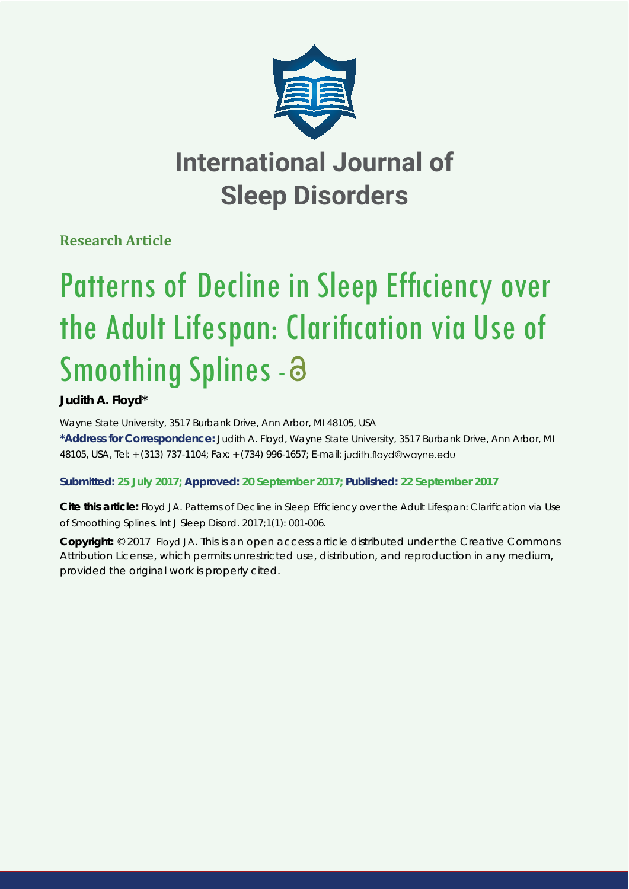

# **International Journal of Sleep Disorders**

**Research Article**

# Patterns of Decline in Sleep Efficiency over the Adult Lifespan: Clarification via Use of Smoothing Splines - a

## **Judith A. Floyd\***

*Wayne State University, 3517 Burbank Drive, Ann Arbor, MI 48105, USA* **\*Address for Correspondence:** Judith A. Floyd, Wayne State University, 3517 Burbank Drive, Ann Arbor, MI 48105, USA, Tel: + (313) 737-1104; Fax: + (734) 996-1657; E-mail:

### **Submitted: 25 July 2017; Approved: 20 September 2017; Published: 22 September 2017**

Cite this article: Floyd JA. Patterns of Decline in Sleep Efficiency over the Adult Lifespan: Clarification via Use of Smoothing Splines. Int J Sleep Disord. 2017;1(1): 001-006.

**Copyright:** © 2017 Floyd JA. This is an open access article distributed under the Creative Commons Attribution License, which permits unrestricted use, distribution, and reproduction in any medium, provided the original work is properly cited.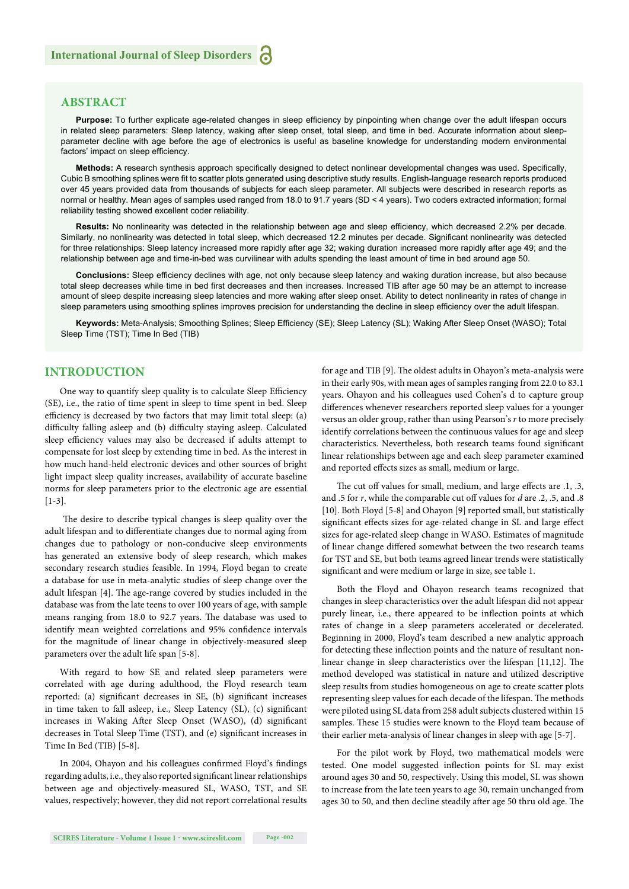#### **ABSTRACT**

Purpose: To further explicate age-related changes in sleep efficiency by pinpointing when change over the adult lifespan occurs in related sleep parameters: Sleep latency, waking after sleep onset, total sleep, and time in bed. Accurate information about sleepparameter decline with age before the age of electronics is useful as baseline knowledge for understanding modern environmental factors' impact on sleep efficiency.

Methods: A research synthesis approach specifically designed to detect nonlinear developmental changes was used. Specifically, Cubic B smoothing splines were fit to scatter plots generated using descriptive study results. English-language research reports produced over 45 years provided data from thousands of subjects for each sleep parameter. All subjects were described in research reports as normal or healthy. Mean ages of samples used ranged from 18.0 to 91.7 years (SD < 4 years). Two coders extracted information; formal reliability testing showed excellent coder reliability.

Results: No nonlinearity was detected in the relationship between age and sleep efficiency, which decreased 2.2% per decade. Similarly, no nonlinearity was detected in total sleep, which decreased 12.2 minutes per decade. Significant nonlinearity was detected for three relationships: Sleep latency increased more rapidly after age 32; waking duration increased more rapidly after age 49; and the relationship between age and time-in-bed was curvilinear with adults spending the least amount of time in bed around age 50.

**Conclusions:** Sleep efficiency declines with age, not only because sleep latency and waking duration increase, but also because total sleep decreases while time in bed first decreases and then increases. Increased TIB after age 50 may be an attempt to increase amount of sleep despite increasing sleep latencies and more waking after sleep onset. Ability to detect nonlinearity in rates of change in sleep parameters using smoothing splines improves precision for understanding the decline in sleep efficiency over the adult lifespan.

Keywords: Meta-Analysis; Smoothing Splines; Sleep Efficiency (SE); Sleep Latency (SL); Waking After Sleep Onset (WASO); Total Sleep Time (TST); Time In Bed (TIB)

#### **INTRODUCTION**

One way to quantify sleep quality is to calculate Sleep Efficiency (SE), i.e., the ratio of time spent in sleep to time spent in bed. Sleep efficiency is decreased by two factors that may limit total sleep: (a) difficulty falling asleep and (b) difficulty staying asleep. Calculated sleep efficiency values may also be decreased if adults attempt to compensate for lost sleep by extending time in bed. As the interest in how much hand-held electronic devices and other sources of bright light impact sleep quality increases, availability of accurate baseline norms for sleep parameters prior to the electronic age are essential [1-3].

The desire to describe typical changes is sleep quality over the adult lifespan and to differentiate changes due to normal aging from changes due to pathology or non-conducive sleep environments has generated an extensive body of sleep research, which makes secondary research studies feasible. In 1994, Floyd began to create a database for use in meta-analytic studies of sleep change over the adult lifespan [4]. The age-range covered by studies included in the database was from the late teens to over 100 years of age, with sample means ranging from 18.0 to 92.7 years. The database was used to identify mean weighted correlations and 95% confidence intervals for the magnitude of linear change in objectively-measured sleep parameters over the adult life span [5-8].

With regard to how SE and related sleep parameters were correlated with age during adulthood, the Floyd research team reported: (a) significant decreases in SE, (b) significant increases in time taken to fall asleep, i.e., Sleep Latency (SL), (c) significant increases in Waking After Sleep Onset (WASO), (d) significant decreases in Total Sleep Time (TST), and (e) significant increases in Time In Bed (TIB) [5-8].

In 2004, Ohayon and his colleagues confirmed Floyd's findings regarding adults, i.e., they also reported significant linear relationships between age and objectively-measured SL, WASO, TST, and SE values, respectively; however, they did not report correlational results for age and TIB [9]. The oldest adults in Ohayon's meta-analysis were in their early 90s, with mean ages of samples ranging from 22.0 to 83.1 years. Ohayon and his colleagues used Cohen's d to capture group differences whenever researchers reported sleep values for a younger versus an older group, rather than using Pearson's *r* to more precisely identify correlations between the continuous values for age and sleep characteristics. Nevertheless, both research teams found significant linear relationships between age and each sleep parameter examined and reported effects sizes as small, medium or large.

The cut off values for small, medium, and large effects are .1, .3, and .5 for *r*, while the comparable cut off values for *d* are .2, .5, and .8 [10]. Both Floyd [5-8] and Ohayon [9] reported small, but statistically significant effects sizes for age-related change in SL and large effect sizes for age-related sleep change in WASO. Estimates of magnitude of linear change differed somewhat between the two research teams for TST and SE, but both teams agreed linear trends were statistically significant and were medium or large in size, see table 1.

Both the Floyd and Ohayon research teams recognized that changes in sleep characteristics over the adult lifespan did not appear purely linear, i.e., there appeared to be inflection points at which rates of change in a sleep parameters accelerated or decelerated. Beginning in 2000, Floyd's team described a new analytic approach for detecting these inflection points and the nature of resultant nonlinear change in sleep characteristics over the lifespan  $[11,12]$ . The method developed was statistical in nature and utilized descriptive sleep results from studies homogeneous on age to create scatter plots representing sleep values for each decade of the lifespan. The methods were piloted using SL data from 258 adult subjects clustered within 15 samples. These 15 studies were known to the Floyd team because of their earlier meta-analysis of linear changes in sleep with age [5-7].

For the pilot work by Floyd, two mathematical models were tested. One model suggested inflection points for SL may exist around ages 30 and 50, respectively. Using this model, SL was shown to increase from the late teen years to age 30, remain unchanged from ages 30 to 50, and then decline steadily after age 50 thru old age. The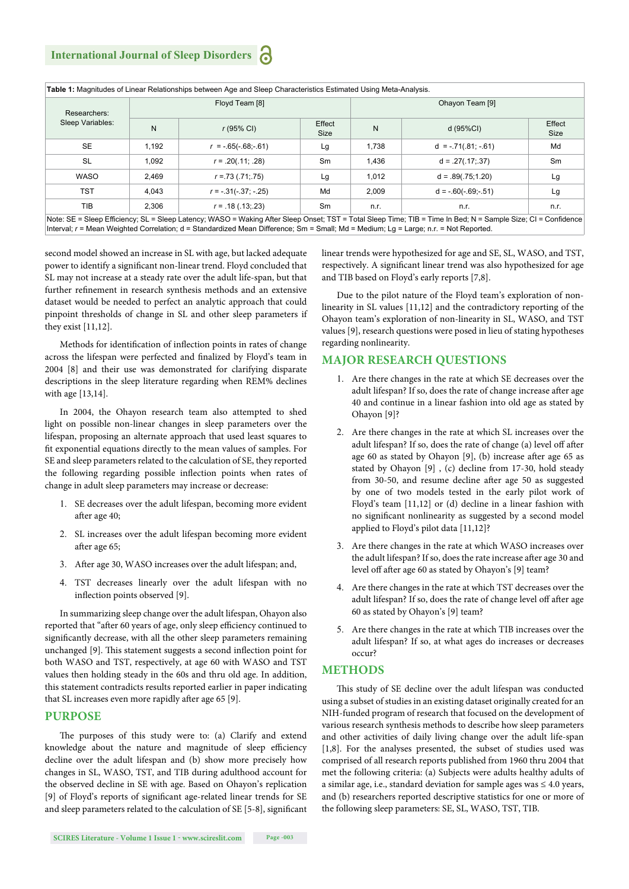| Researchers:<br>Sleep Variables: |       | Floyd Team [8]         |                | Ohayon Team [9] |                         |                |  |
|----------------------------------|-------|------------------------|----------------|-----------------|-------------------------|----------------|--|
|                                  | N     | $r(95% \text{ Cl})$    | Effect<br>Size | N               | d (95%CI)               | Effect<br>Size |  |
| <b>SE</b>                        | 1.192 | $r = -.65(-.68,-.61)$  | Lg             | 1,738           | $d = -0.71(.81; -0.61)$ | Md             |  |
| SL                               | 1.092 | $r = .20(.11; .28)$    | Sm             | 1,436           | $d = .27(.17:.37)$      | Sm             |  |
| WASO                             | 2.469 | $r = 73(.71,.75)$      | Lg             | 1,012           | $d = .89(.75; 1.20)$    | Lg             |  |
| <b>TST</b>                       | 4.043 | $r = -.31(-.37; -.25)$ | Md             | 2.009           | $d = -.60(-.69,-.51)$   | Lg             |  |
| TIB                              | 2.306 | $r = .18(.13; .23)$    | Sm             | n.r.            | n.r.                    | n.r.           |  |

second model showed an increase in SL with age, but lacked adequate power to identify a significant non-linear trend. Floyd concluded that SL may not increase at a steady rate over the adult life-span, but that further refinement in research synthesis methods and an extensive dataset would be needed to perfect an analytic approach that could pinpoint thresholds of change in SL and other sleep parameters if they exist [11,12].

Methods for identification of inflection points in rates of change across the lifespan were perfected and finalized by Floyd's team in 2004 [8] and their use was demonstrated for clarifying disparate descriptions in the sleep literature regarding when REM% declines with age [13,14].

In 2004, the Ohayon research team also attempted to shed light on possible non-linear changes in sleep parameters over the lifespan, proposing an alternate approach that used least squares to fit exponential equations directly to the mean values of samples. For SE and sleep parameters related to the calculation of SE, they reported the following regarding possible inflection points when rates of change in adult sleep parameters may increase or decrease:

- 1. SE decreases over the adult lifespan, becoming more evident after age 40;
- 2. SL increases over the adult lifespan becoming more evident after age 65;
- 3. After age 30, WASO increases over the adult lifespan; and,
- 4. TST decreases linearly over the adult lifespan with no inflection points observed [9].

In summarizing sleep change over the adult lifespan, Ohayon also reported that "after 60 years of age, only sleep efficiency continued to significantly decrease, with all the other sleep parameters remaining unchanged [9]. This statement suggests a second inflection point for both WASO and TST, respectively, at age 60 with WASO and TST values then holding steady in the 60s and thru old age. In addition, this statement contradicts results reported earlier in paper indicating that SL increases even more rapidly after age 65 [9].

#### **PURPOSE**

The purposes of this study were to: (a) Clarify and extend knowledge about the nature and magnitude of sleep efficiency decline over the adult lifespan and (b) show more precisely how changes in SL, WASO, TST, and TIB during adulthood account for the observed decline in SE with age. Based on Ohayon's replication [9] of Floyd's reports of significant age-related linear trends for SE and sleep parameters related to the calculation of  $SE$  [5-8], significant linear trends were hypothesized for age and SE, SL, WASO, and TST, respectively. A significant linear trend was also hypothesized for age and TIB based on Floyd's early reports [7,8].

Due to the pilot nature of the Floyd team's exploration of nonlinearity in SL values [11,12] and the contradictory reporting of the Ohayon team's exploration of non-linearity in SL, WASO, and TST values [9], research questions were posed in lieu of stating hypotheses regarding nonlinearity.

#### **MAJOR RESEARCH QUESTIONS**

- 1. Are there changes in the rate at which SE decreases over the adult lifespan? If so, does the rate of change increase after age 40 and continue in a linear fashion into old age as stated by Ohayon [9]?
- 2. Are there changes in the rate at which SL increases over the adult lifespan? If so, does the rate of change (a) level off after age 60 as stated by Ohayon  $[9]$ , (b) increase after age 65 as stated by Ohayon [9] , (c) decline from 17-30, hold steady from 30-50, and resume decline after age 50 as suggested by one of two models tested in the early pilot work of Floyd's team [11,12] or (d) decline in a linear fashion with no significant nonlinearity as suggested by a second model applied to Floyd's pilot data [11,12]?
- 3. Are there changes in the rate at which WASO increases over the adult lifespan? If so, does the rate increase after age 30 and level off after age 60 as stated by Ohayon's [9] team?
- 4. Are there changes in the rate at which TST decreases over the adult lifespan? If so, does the rate of change level off after age 60 as stated by Ohayon's [9] team?
- 5. Are there changes in the rate at which TIB increases over the adult lifespan? If so, at what ages do increases or decreases occur?

#### **METHODS**

This study of SE decline over the adult lifespan was conducted using a subset of studies in an existing dataset originally created for an NIH-funded program of research that focused on the development of various research synthesis methods to describe how sleep parameters and other activities of daily living change over the adult life-span [1,8]. For the analyses presented, the subset of studies used was comprised of all research reports published from 1960 thru 2004 that met the following criteria: (a) Subjects were adults healthy adults of a similar age, i.e., standard deviation for sample ages was ≤ 4.0 years, and (b) researchers reported descriptive statistics for one or more of the following sleep parameters: SE, SL, WASO, TST, TIB.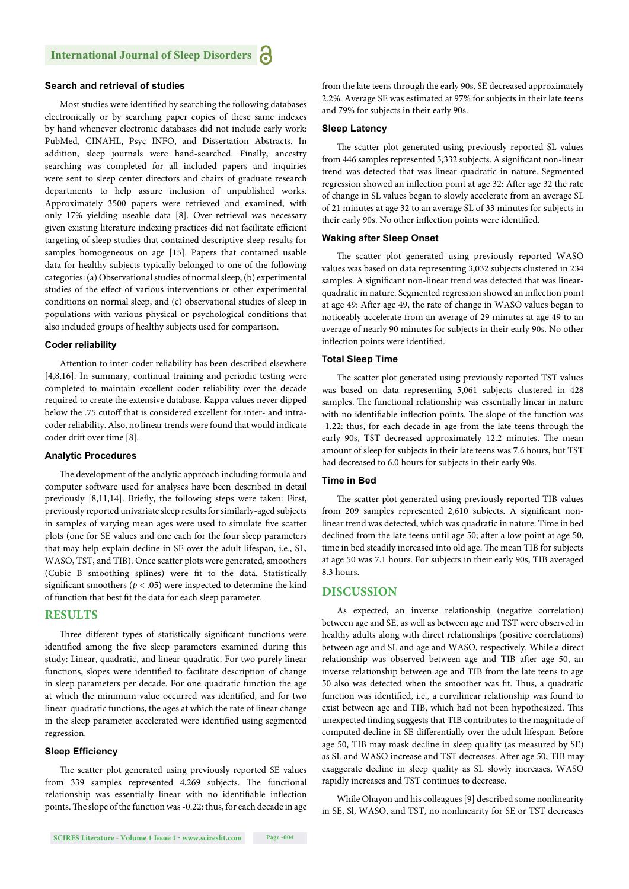#### **Search and retrieval of studies**

Most studies were identified by searching the following databases electronically or by searching paper copies of these same indexes by hand whenever electronic databases did not include early work: PubMed, CINAHL, Psyc INFO, and Dissertation Abstracts. In addition, sleep journals were hand-searched. Finally, ancestry searching was completed for all included papers and inquiries were sent to sleep center directors and chairs of graduate research departments to help assure inclusion of unpublished works. Approximately 3500 papers were retrieved and examined, with only 17% yielding useable data [8]. Over-retrieval was necessary given existing literature indexing practices did not facilitate efficient targeting of sleep studies that contained descriptive sleep results for samples homogeneous on age [15]. Papers that contained usable data for healthy subjects typically belonged to one of the following categories: (a) Observational studies of normal sleep, (b) experimental studies of the effect of various interventions or other experimental conditions on normal sleep, and (c) observational studies of sleep in populations with various physical or psychological conditions that also included groups of healthy subjects used for comparison.

#### **Coder reliability**

Attention to inter-coder reliability has been described elsewhere [4,8,16]. In summary, continual training and periodic testing were completed to maintain excellent coder reliability over the decade required to create the extensive database. Kappa values never dipped below the .75 cutoff that is considered excellent for inter- and intracoder reliability. Also, no linear trends were found that would indicate coder drift over time [8].

#### **Analytic Procedures**

The development of the analytic approach including formula and computer software used for analyses have been described in detail previously [8,11,14]. Briefly, the following steps were taken: First, previously reported univariate sleep results for similarly-aged subjects in samples of varying mean ages were used to simulate five scatter plots (one for SE values and one each for the four sleep parameters that may help explain decline in SE over the adult lifespan, i.e., SL, WASO, TST, and TIB). Once scatter plots were generated, smoothers (Cubic B smoothing splines) were fit to the data. Statistically significant smoothers ( $p < .05$ ) were inspected to determine the kind of function that best fit the data for each sleep parameter.

#### **RESULTS**

Three different types of statistically significant functions were identified among the five sleep parameters examined during this study: Linear, quadratic, and linear-quadratic. For two purely linear functions, slopes were identified to facilitate description of change in sleep parameters per decade. For one quadratic function the age at which the minimum value occurred was identified, and for two linear-quadratic functions, the ages at which the rate of linear change in the sleep parameter accelerated were identified using segmented regression.

#### **Sleep Efficiency**

The scatter plot generated using previously reported SE values from 339 samples represented 4,269 subjects. The functional relationship was essentially linear with no identifiable inflection points. The slope of the function was -0.22: thus, for each decade in age

from the late teens through the early 90s, SE decreased approximately 2.2%. Average SE was estimated at 97% for subjects in their late teens and 79% for subjects in their early 90s.

#### **Sleep Latency**

The scatter plot generated using previously reported SL values from 446 samples represented 5,332 subjects. A significant non-linear trend was detected that was linear-quadratic in nature. Segmented regression showed an inflection point at age 32: After age 32 the rate of change in SL values began to slowly accelerate from an average SL of 21 minutes at age 32 to an average SL of 33 minutes for subjects in their early 90s. No other inflection points were identified.

#### **Waking after Sleep Onset**

The scatter plot generated using previously reported WASO values was based on data representing 3,032 subjects clustered in 234 samples. A significant non-linear trend was detected that was linearquadratic in nature. Segmented regression showed an inflection point at age 49: After age 49, the rate of change in WASO values began to noticeably accelerate from an average of 29 minutes at age 49 to an average of nearly 90 minutes for subjects in their early 90s. No other inflection points were identified.

#### **Total Sleep Time**

The scatter plot generated using previously reported TST values was based on data representing 5,061 subjects clustered in 428 samples. The functional relationship was essentially linear in nature with no identifiable inflection points. The slope of the function was -1.22: thus, for each decade in age from the late teens through the early 90s, TST decreased approximately 12.2 minutes. The mean amount of sleep for subjects in their late teens was 7.6 hours, but TST had decreased to 6.0 hours for subjects in their early 90s.

#### **Time in Bed**

The scatter plot generated using previously reported TIB values from 209 samples represented 2,610 subjects. A significant nonlinear trend was detected, which was quadratic in nature: Time in bed declined from the late teens until age 50; after a low-point at age 50, time in bed steadily increased into old age. The mean TIB for subjects at age 50 was 7.1 hours. For subjects in their early 90s, TIB averaged 8.3 hours.

#### **DISCUSSION**

As expected, an inverse relationship (negative correlation) between age and SE, as well as between age and TST were observed in healthy adults along with direct relationships (positive correlations) between age and SL and age and WASO, respectively. While a direct relationship was observed between age and TIB after age 50, an inverse relationship between age and TIB from the late teens to age 50 also was detected when the smoother was fit. Thus, a quadratic function was identified, i.e., a curvilinear relationship was found to exist between age and TIB, which had not been hypothesized. This unexpected finding suggests that TIB contributes to the magnitude of computed decline in SE differentially over the adult lifespan. Before age 50, TIB may mask decline in sleep quality (as measured by SE) as SL and WASO increase and TST decreases. After age 50, TIB may exaggerate decline in sleep quality as SL slowly increases, WASO rapidly increases and TST continues to decrease.

While Ohayon and his colleagues [9] described some nonlinearity in SE, Sl, WASO, and TST, no nonlinearity for SE or TST decreases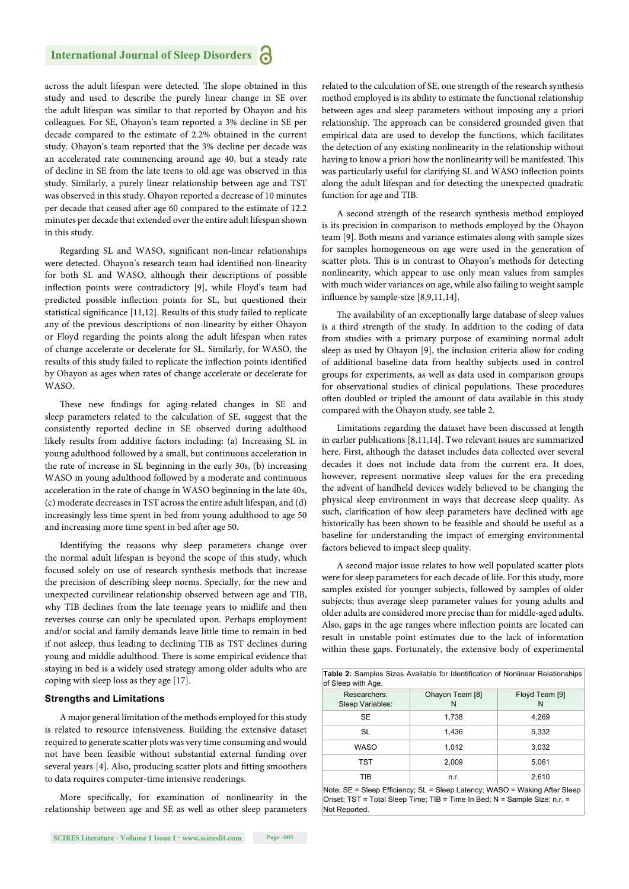across the adult lifespan were detected. The slope obtained in this study and used to describe the purely linear change in SE over the adult lifespan was similar to that reported by Ohayon and his colleagues. For SE, Ohayon's team reported a 3% decline in SE per decade compared to the estimate of 2.2% obtained in the current study. Ohayon's team reported that the 3% decline per decade was an accelerated rate commencing around age 40, but a steady rate of decline in SE from the late teens to old age was observed in this study. Similarly, a purely linear relationship between age and TST was observed in this study. Ohayon reported a decrease of 10 minutes per decade that ceased after age 60 compared to the estimate of 12.2 minutes per decade that extended over the entire adult lifespan shown in this study.

Regarding SL and WASO, significant non-linear relationships were detected. Ohayon's research team had identified non-linearity for both SL and WASO, although their descriptions of possible inflection points were contradictory [9], while Floyd's team had predicted possible inflection points for SL, but questioned their statistical significance [11,12]. Results of this study failed to replicate any of the previous descriptions of non-linearity by either Ohayon or Floyd regarding the points along the adult lifespan when rates of change accelerate or decelerate for SL. Similarly, for WASO, the results of this study failed to replicate the inflection points identified by Ohayon as ages when rates of change accelerate or decelerate for WASO.

These new findings for aging-related changes in SE and sleep parameters related to the calculation of SE, suggest that the consistently reported decline in SE observed during adulthood likely results from additive factors including: (a) Increasing SL in young adulthood followed by a small, but continuous acceleration in the rate of increase in SL beginning in the early 30s, (b) increasing WASO in young adulthood followed by a moderate and continuous acceleration in the rate of change in WASO beginning in the late 40s, (c) moderate decreases in TST across the entire adult lifespan, and (d) increasingly less time spent in bed from young adulthood to age 50 and increasing more time spent in bed after age 50.

Identifying the reasons why sleep parameters change over the normal adult lifespan is beyond the scope of this study, which focused solely on use of research synthesis methods that increase the precision of describing sleep norms. Specially, for the new and unexpected curvilinear relationship observed between age and TIB, why TIB declines from the late teenage years to midlife and then reverses course can only be speculated upon. Perhaps employment and/or social and family demands leave little time to remain in bed if not asleep, thus leading to declining TIB as TST declines during young and middle adulthood. There is some empirical evidence that staying in bed is a widely used strategy among older adults who are coping with sleep loss as they age [17].

#### **Strengths and Limitations**

A major general limitation of the methods employed for this study is related to resource intensiveness. Building the extensive dataset required to generate scatter plots was very time consuming and would not have been feasible without substantial external funding over several years [4]. Also, producing scatter plots and fitting smoothers to data requires computer-time intensive renderings.

More specifically, for examination of nonlinearity in the relationship between age and SE as well as other sleep parameters

related to the calculation of SE, one strength of the research synthesis method employed is its ability to estimate the functional relationship between ages and sleep parameters without imposing any a priori relationship. The approach can be considered grounded given that empirical data are used to develop the functions, which facilitates the detection of any existing nonlinearity in the relationship without having to know a priori how the nonlinearity will be manifested. This was particularly useful for clarifying SL and WASO inflection points along the adult lifespan and for detecting the unexpected quadratic function for age and TIB.

A second strength of the research synthesis method employed is its precision in comparison to methods employed by the Ohayon team [9]. Both means and variance estimates along with sample sizes for samples homogeneous on age were used in the generation of scatter plots. This is in contrast to Ohayon's methods for detecting nonlinearity, which appear to use only mean values from samples with much wider variances on age, while also failing to weight sample influence by sample-size  $[8,9,11,14]$ .

The availability of an exceptionally large database of sleep values is a third strength of the study. In addition to the coding of data from studies with a primary purpose of examining normal adult sleep as used by Ohayon [9], the inclusion criteria allow for coding of additional baseline data from healthy subjects used in control groups for experiments, as well as data used in comparison groups for observational studies of clinical populations. These procedures often doubled or tripled the amount of data available in this study compared with the Ohayon study, see table 2.

Limitations regarding the dataset have been discussed at length in earlier publications [8,11,14]. Two relevant issues are summarized here. First, although the dataset includes data collected over several decades it does not include data from the current era. It does, however, represent normative sleep values for the era preceding the advent of handheld devices widely believed to be changing the physical sleep environment in ways that decrease sleep quality. As such, clarification of how sleep parameters have declined with age historically has been shown to be feasible and should be useful as a baseline for understanding the impact of emerging environmental factors believed to impact sleep quality.

A second major issue relates to how well populated scatter plots were for sleep parameters for each decade of life. For this study, more samples existed for younger subjects, followed by samples of older subjects; thus average sleep parameter values for young adults and older adults are considered more precise than for middle-aged adults. Also, gaps in the age ranges where inflection points are located can result in unstable point estimates due to the lack of information within these gaps. Fortunately, the extensive body of experimental

|                    |  |  |  | <b>Table 2:</b> Samples Sizes Available for Identification of Nonlinear Relationships |
|--------------------|--|--|--|---------------------------------------------------------------------------------------|
| of Sleep with Age. |  |  |  |                                                                                       |

| Researchers:<br>Sleep Variables: | Ohayon Team [8]<br>N | Floyd Team [9]<br>N |
|----------------------------------|----------------------|---------------------|
| <b>SE</b>                        | 1,738                | 4,269               |
| SL                               | 1.436                | 5,332               |
| <b>WASO</b>                      | 1,012                | 3,032               |
| TST                              | 2,009                | 5,061               |
| TIB                              | n.r.                 | 2,610               |

Note: SE = Sleep Efficiency; SL = Sleep Latency; WASO = Waking After Sleep Onset; TST = Total Sleep Time; TIB = Time In Bed; N = Sample Size; n.r. = Not Reported.